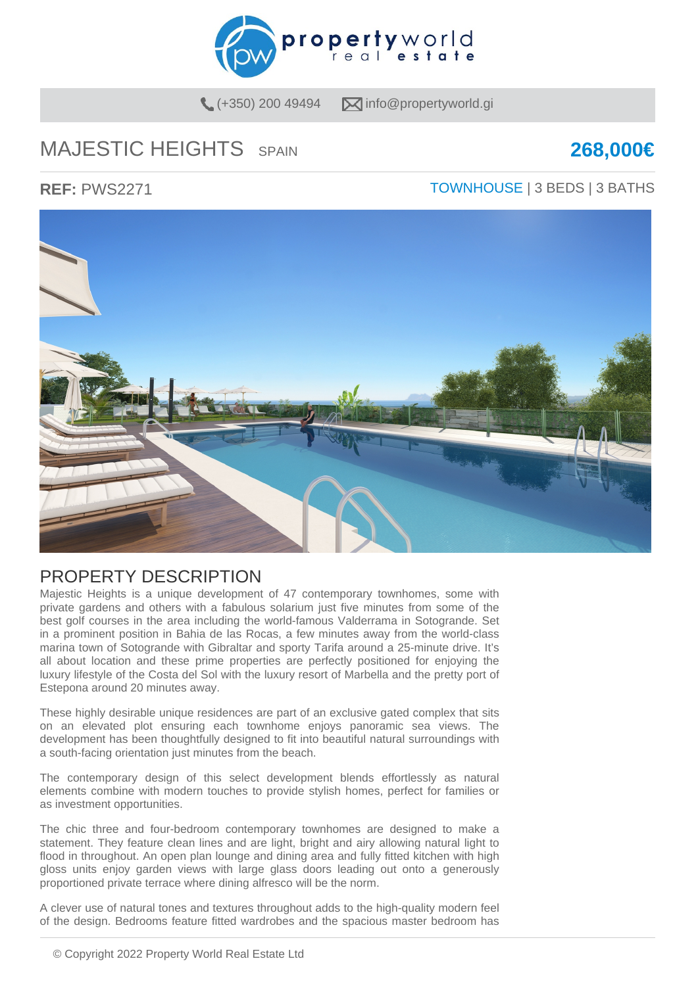

 $(+350)$  200 49494  $\qquad \qquad \blacksquare$  info@propertyworld.gi

# MAJESTIC HEIGHTS SPAIN **268,000€**

### **REF:** PWS2271 TOWNHOUSE | 3 BEDS | 3 BATHS



### PROPERTY DESCRIPTION

Majestic Heights is a unique development of 47 contemporary townhomes, some with private gardens and others with a fabulous solarium just five minutes from some of the best golf courses in the area including the world-famous Valderrama in Sotogrande. Set in a prominent position in Bahia de las Rocas, a few minutes away from the world-class marina town of Sotogrande with Gibraltar and sporty Tarifa around a 25-minute drive. It's all about location and these prime properties are perfectly positioned for enjoying the luxury lifestyle of the Costa del Sol with the luxury resort of Marbella and the pretty port of Estepona around 20 minutes away.

These highly desirable unique residences are part of an exclusive gated complex that sits on an elevated plot ensuring each townhome enjoys panoramic sea views. The development has been thoughtfully designed to fit into beautiful natural surroundings with a south-facing orientation just minutes from the beach.

The contemporary design of this select development blends effortlessly as natural elements combine with modern touches to provide stylish homes, perfect for families or as investment opportunities.

The chic three and four-bedroom contemporary townhomes are designed to make a statement. They feature clean lines and are light, bright and airy allowing natural light to flood in throughout. An open plan lounge and dining area and fully fitted kitchen with high gloss units enjoy garden views with large glass doors leading out onto a generously proportioned private terrace where dining alfresco will be the norm.

A clever use of natural tones and textures throughout adds to the high-quality modern feel of the design. Bedrooms feature fitted wardrobes and the spacious master bedroom has